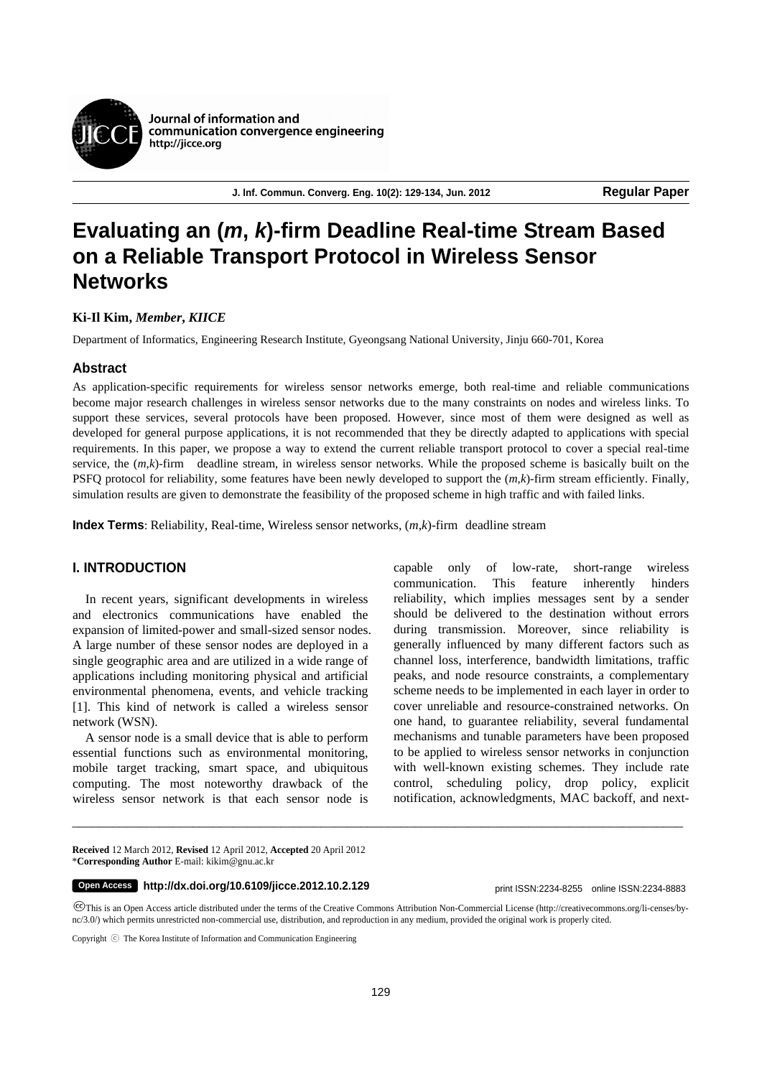

**J. lnf. Commun. Converg. Eng. 10(2): 129-134, Jun. 2012 Regular Paper**

# **Evaluating an (***m***,** *k***)-firm Deadline Real-time Stream Based on a Reliable Transport Protocol in Wireless Sensor Networks**

# **Ki-Il Kim,** *Member***,** *KIICE*

Department of Informatics, Engineering Research Institute, Gyeongsang National University, Jinju 660-701, Korea

# **Abstract**

As application-specific requirements for wireless sensor networks emerge, both real-time and reliable communications become major research challenges in wireless sensor networks due to the many constraints on nodes and wireless links. To support these services, several protocols have been proposed. However, since most of them were designed as well as developed for general purpose applications, it is not recommended that they be directly adapted to applications with special requirements. In this paper, we propose a way to extend the current reliable transport protocol to cover a special real-time service, the (*m*,*k*)-firm deadline stream, in wireless sensor networks. While the proposed scheme is basically built on the PSFQ protocol for reliability, some features have been newly developed to support the (*m*,*k*)-firm stream efficiently. Finally, simulation results are given to demonstrate the feasibility of the proposed scheme in high traffic and with failed links.

**Index Terms**: Reliability, Real-time, Wireless sensor networks, (*m*,*k*)-firm deadline stream

# **I. INTRODUCTION**

In recent years, significant developments in wireless and electronics communications have enabled the expansion of limited-power and small-sized sensor nodes. A large number of these sensor nodes are deployed in a single geographic area and are utilized in a wide range of applications including monitoring physical and artificial environmental phenomena, events, and vehicle tracking [1]. This kind of network is called a wireless sensor network (WSN).

A sensor node is a small device that is able to perform essential functions such as environmental monitoring, mobile target tracking, smart space, and ubiquitous computing. The most noteworthy drawback of the wireless sensor network is that each sensor node is

capable only of low-rate, short-range wireless communication. This feature inherently hinders reliability, which implies messages sent by a sender should be delivered to the destination without errors during transmission. Moreover, since reliability is generally influenced by many different factors such as channel loss, interference, bandwidth limitations, traffic peaks, and node resource constraints, a complementary scheme needs to be implemented in each layer in order to cover unreliable and resource-constrained networks. On one hand, to guarantee reliability, several fundamental mechanisms and tunable parameters have been proposed to be applied to wireless sensor networks in conjunction with well-known existing schemes. They include rate control, scheduling policy, drop policy, explicit notification, acknowledgments, MAC backoff, and next-

**Received** 12 March 2012, **Revised** 12 April 2012, **Accepted** 20 April 2012 \***Corresponding Author** E-mail: kikim@gnu.ac.kr

# **http://dx.doi.org/10.6109/jicce.2012.10.2.129** print ISSN:2234-8255 online ISSN:2234-8883 **Open Access**

This is an Open Access article distributed under the terms of the Creative Commons Attribution Non-Commercial License (http://creativecommons.org/li-censes/bync/3.0/) which permits unrestricted non-commercial use, distribution, and reproduction in any medium, provided the original work is properly cited.

 $\_$  ,  $\_$  ,  $\_$  ,  $\_$  ,  $\_$  ,  $\_$  ,  $\_$  ,  $\_$  ,  $\_$  ,  $\_$  ,  $\_$  ,  $\_$  ,  $\_$  ,  $\_$  ,  $\_$  ,  $\_$  ,  $\_$  ,  $\_$  ,  $\_$  ,  $\_$  ,  $\_$  ,  $\_$  ,  $\_$  ,  $\_$  ,  $\_$  ,  $\_$  ,  $\_$  ,  $\_$  ,  $\_$  ,  $\_$  ,  $\_$  ,  $\_$  ,  $\_$  ,  $\_$  ,  $\_$  ,  $\_$  ,  $\_$  ,

Copyright ⓒ The Korea Institute of Information and Communication Engineering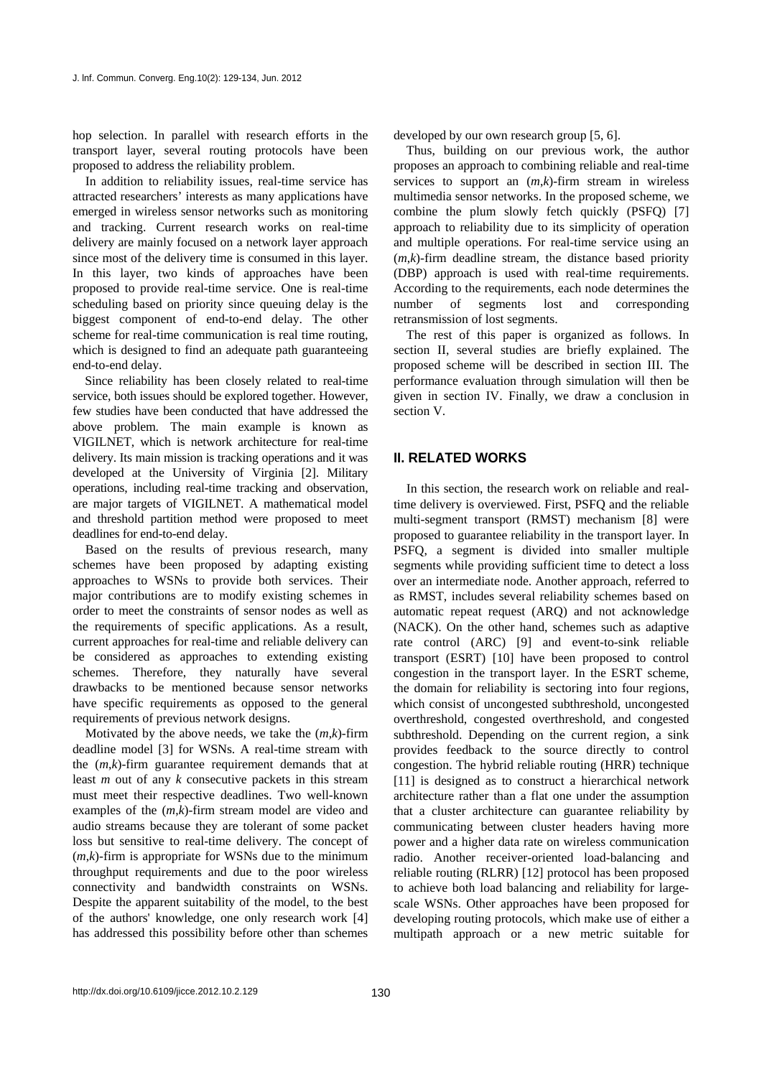hop selection. In parallel with research efforts in the transport layer, several routing protocols have been proposed to address the reliability problem.

In addition to reliability issues, real-time service has attracted researchers' interests as many applications have emerged in wireless sensor networks such as monitoring and tracking. Current research works on real-time delivery are mainly focused on a network layer approach since most of the delivery time is consumed in this layer. In this layer, two kinds of approaches have been proposed to provide real-time service. One is real-time scheduling based on priority since queuing delay is the biggest component of end-to-end delay. The other scheme for real-time communication is real time routing, which is designed to find an adequate path guaranteeing end-to-end delay.

Since reliability has been closely related to real-time service, both issues should be explored together. However, few studies have been conducted that have addressed the above problem. The main example is known as VIGILNET, which is network architecture for real-time delivery. Its main mission is tracking operations and it was developed at the University of Virginia [2]. Military operations, including real-time tracking and observation, are major targets of VIGILNET. A mathematical model and threshold partition method were proposed to meet deadlines for end-to-end delay.

Based on the results of previous research, many schemes have been proposed by adapting existing approaches to WSNs to provide both services. Their major contributions are to modify existing schemes in order to meet the constraints of sensor nodes as well as the requirements of specific applications. As a result, current approaches for real-time and reliable delivery can be considered as approaches to extending existing schemes. Therefore, they naturally have several drawbacks to be mentioned because sensor networks have specific requirements as opposed to the general requirements of previous network designs.

Motivated by the above needs, we take the (*m*,*k*)-firm deadline model [3] for WSNs. A real-time stream with the (*m*,*k*)-firm guarantee requirement demands that at least *m* out of any *k* consecutive packets in this stream must meet their respective deadlines. Two well-known examples of the (*m*,*k*)-firm stream model are video and audio streams because they are tolerant of some packet loss but sensitive to real-time delivery. The concept of (*m*,*k*)-firm is appropriate for WSNs due to the minimum throughput requirements and due to the poor wireless connectivity and bandwidth constraints on WSNs. Despite the apparent suitability of the model, to the best of the authors' knowledge, one only research work [4] has addressed this possibility before other than schemes

developed by our own research group [5, 6].

Thus, building on our previous work, the author proposes an approach to combining reliable and real-time services to support an (*m*,*k*)-firm stream in wireless multimedia sensor networks. In the proposed scheme, we combine the plum slowly fetch quickly (PSFQ) [7] approach to reliability due to its simplicity of operation and multiple operations. For real-time service using an  $(m,k)$ -firm deadline stream, the distance based priority (DBP) approach is used with real-time requirements. According to the requirements, each node determines the number of segments lost and corresponding retransmission of lost segments.

The rest of this paper is organized as follows. In section II, several studies are briefly explained. The proposed scheme will be described in section III. The performance evaluation through simulation will then be given in section IV. Finally, we draw a conclusion in section V.

# **II. RELATED WORKS**

In this section, the research work on reliable and realtime delivery is overviewed. First, PSFQ and the reliable multi-segment transport (RMST) mechanism [8] were proposed to guarantee reliability in the transport layer. In PSFQ, a segment is divided into smaller multiple segments while providing sufficient time to detect a loss over an intermediate node. Another approach, referred to as RMST, includes several reliability schemes based on automatic repeat request (ARQ) and not acknowledge (NACK). On the other hand, schemes such as adaptive rate control (ARC) [9] and event-to-sink reliable transport (ESRT) [10] have been proposed to control congestion in the transport layer. In the ESRT scheme, the domain for reliability is sectoring into four regions, which consist of uncongested subthreshold, uncongested overthreshold, congested overthreshold, and congested subthreshold. Depending on the current region, a sink provides feedback to the source directly to control congestion. The hybrid reliable routing (HRR) technique [11] is designed as to construct a hierarchical network architecture rather than a flat one under the assumption that a cluster architecture can guarantee reliability by communicating between cluster headers having more power and a higher data rate on wireless communication radio. Another receiver-oriented load-balancing and reliable routing (RLRR) [12] protocol has been proposed to achieve both load balancing and reliability for largescale WSNs. Other approaches have been proposed for developing routing protocols, which make use of either a multipath approach or a new metric suitable for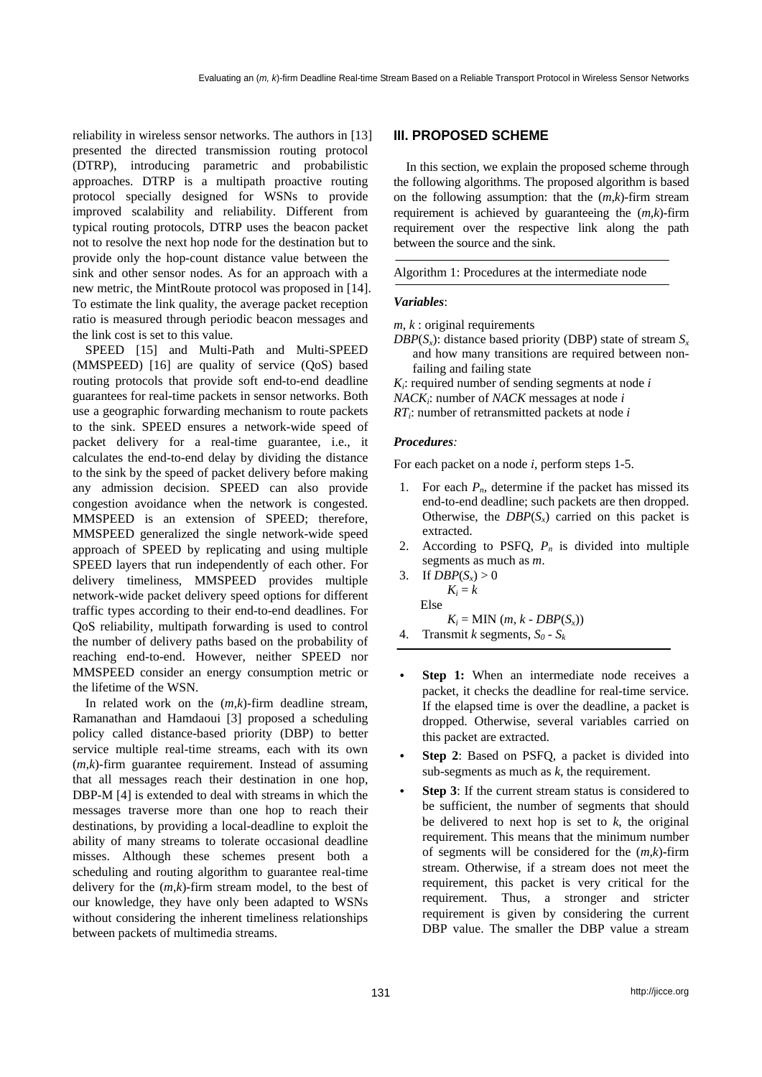reliability in wireless sensor networks. The authors in [13] presented the directed transmission routing protocol (DTRP), introducing parametric and probabilistic approaches. DTRP is a multipath proactive routing protocol specially designed for WSNs to provide improved scalability and reliability. Different from typical routing protocols, DTRP uses the beacon packet not to resolve the next hop node for the destination but to provide only the hop-count distance value between the sink and other sensor nodes. As for an approach with a new metric, the MintRoute protocol was proposed in [14]. To estimate the link quality, the average packet reception ratio is measured through periodic beacon messages and the link cost is set to this value.

SPEED [15] and Multi-Path and Multi-SPEED (MMSPEED) [16] are quality of service (QoS) based routing protocols that provide soft end-to-end deadline guarantees for real-time packets in sensor networks. Both use a geographic forwarding mechanism to route packets to the sink. SPEED ensures a network-wide speed of packet delivery for a real-time guarantee, i.e., it calculates the end-to-end delay by dividing the distance to the sink by the speed of packet delivery before making any admission decision. SPEED can also provide congestion avoidance when the network is congested. MMSPEED is an extension of SPEED; therefore, MMSPEED generalized the single network-wide speed approach of SPEED by replicating and using multiple SPEED layers that run independently of each other. For delivery timeliness, MMSPEED provides multiple network-wide packet delivery speed options for different traffic types according to their end-to-end deadlines. For QoS reliability, multipath forwarding is used to control the number of delivery paths based on the probability of reaching end-to-end. However, neither SPEED nor MMSPEED consider an energy consumption metric or the lifetime of the WSN.

In related work on the (*m*,*k*)-firm deadline stream, Ramanathan and Hamdaoui [3] proposed a scheduling policy called distance-based priority (DBP) to better service multiple real-time streams, each with its own  $(m,k)$ -firm guarantee requirement. Instead of assuming that all messages reach their destination in one hop, DBP-M [4] is extended to deal with streams in which the messages traverse more than one hop to reach their destinations, by providing a local-deadline to exploit the ability of many streams to tolerate occasional deadline misses. Although these schemes present both a scheduling and routing algorithm to guarantee real-time delivery for the (*m*,*k*)-firm stream model, to the best of our knowledge, they have only been adapted to WSNs without considering the inherent timeliness relationships between packets of multimedia streams.

# **III. PROPOSED SCHEME**

In this section, we explain the proposed scheme through the following algorithms. The proposed algorithm is based on the following assumption: that the (*m*,*k*)-firm stream requirement is achieved by guaranteeing the (*m*,*k*)-firm requirement over the respective link along the path between the source and the sink.

Algorithm 1: Procedures at the intermediate node

#### *Variables*:

- *m*, *k* : original requirements
- *DBP*( $S_x$ ): distance based priority (DBP) state of stream  $S_x$ and how many transitions are required between nonfailing and failing state
- *Ki*: required number of sending segments at node *i*
- *NACKi*: number of *NACK* messages at node *i*
- *RTi*: number of retransmitted packets at node *i*

#### *Procedures:*

For each packet on a node *i*, perform steps 1-5.

- 1. For each  $P_n$ , determine if the packet has missed its end-to-end deadline; such packets are then dropped. Otherwise, the  $DBP(S_x)$  carried on this packet is extracted.
- 2. According to PSFQ,  $P_n$  is divided into multiple segments as much as *m*.
- 3. If  $DBP(S_x) > 0$  $K_i = k$ Else  $K_i = MIN(m, k - DBP(S_i))$
- 4. Transmit *k* segments,  $S_0 S_k$
- **Step 1:** When an intermediate node receives a packet, it checks the deadline for real-time service. If the elapsed time is over the deadline, a packet is dropped. Otherwise, several variables carried on this packet are extracted.
- **Step 2**: Based on PSFQ, a packet is divided into sub-segments as much as *k*, the requirement.
- **Step 3**: If the current stream status is considered to be sufficient, the number of segments that should be delivered to next hop is set to *k*, the original requirement. This means that the minimum number of segments will be considered for the (*m*,*k*)-firm stream. Otherwise, if a stream does not meet the requirement, this packet is very critical for the requirement. Thus, a stronger and stricter requirement is given by considering the current DBP value. The smaller the DBP value a stream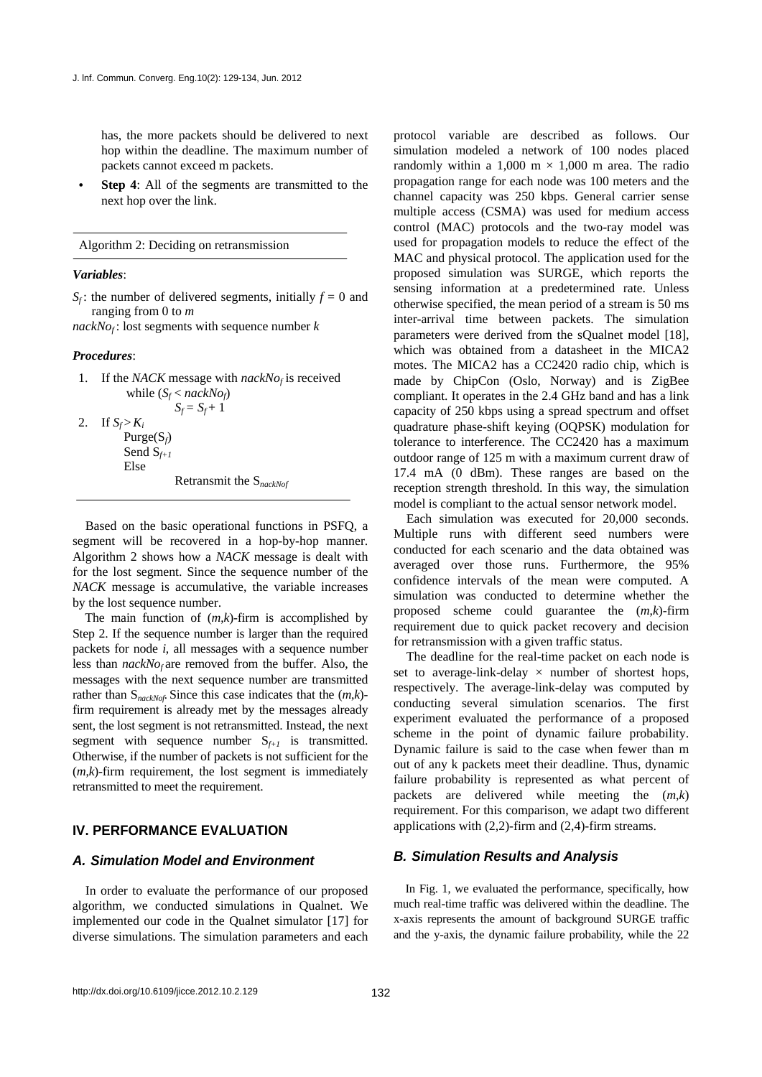has, the more packets should be delivered to next hop within the deadline. The maximum number of packets cannot exceed m packets.

**Step 4**: All of the segments are transmitted to the next hop over the link.

Algorithm 2: Deciding on retransmission

#### *Variables*:

```
S_f: the number of delivered segments, initially f = 0 and
ranging from 0 to m
```
 $nackNo<sub>f</sub>$ : lost segments with sequence number *k* 

### *Procedures*:

1. If the *NACK* message with  $nackNo<sub>f</sub>$  is received while  $(S_f < nackNo_f)$  $S_f = S_f + 1$ 

2. If  $S_f > K_i$ Purge(S*f*) Send S*f+1* Else

Retransmit the S*nackNof*

Based on the basic operational functions in PSFQ, a segment will be recovered in a hop-by-hop manner. Algorithm 2 shows how a *NACK* message is dealt with for the lost segment. Since the sequence number of the *NACK* message is accumulative, the variable increases by the lost sequence number.

The main function of (*m*,*k*)-firm is accomplished by Step 2. If the sequence number is larger than the required packets for node *i*, all messages with a sequence number less than  $nackNo<sub>f</sub>$  are removed from the buffer. Also, the messages with the next sequence number are transmitted rather than S*nackNof.* Since this case indicates that the (*m*,*k*) firm requirement is already met by the messages already sent, the lost segment is not retransmitted. Instead, the next segment with sequence number  $S_{f+1}$  is transmitted. Otherwise, if the number of packets is not sufficient for the  $(m,k)$ -firm requirement, the lost segment is immediately retransmitted to meet the requirement.

# **IV. PERFORMANCE EVALUATION**

# *A. Simulation Model and Environment*

In order to evaluate the performance of our proposed algorithm, we conducted simulations in Qualnet. We implemented our code in the Qualnet simulator [17] for diverse simulations. The simulation parameters and each

protocol variable are described as follows. Our simulation modeled a network of 100 nodes placed randomly within a 1,000 m  $\times$  1,000 m area. The radio propagation range for each node was 100 meters and the channel capacity was 250 kbps. General carrier sense multiple access (CSMA) was used for medium access control (MAC) protocols and the two-ray model was used for propagation models to reduce the effect of the MAC and physical protocol. The application used for the proposed simulation was SURGE, which reports the sensing information at a predetermined rate. Unless otherwise specified, the mean period of a stream is 50 ms inter-arrival time between packets. The simulation parameters were derived from the sQualnet model [18], which was obtained from a datasheet in the MICA2 motes. The MICA2 has a CC2420 radio chip, which is made by ChipCon (Oslo, Norway) and is ZigBee compliant. It operates in the 2.4 GHz band and has a link capacity of 250 kbps using a spread spectrum and offset quadrature phase-shift keying (OQPSK) modulation for tolerance to interference. The CC2420 has a maximum outdoor range of 125 m with a maximum current draw of 17.4 mA (0 dBm). These ranges are based on the reception strength threshold. In this way, the simulation model is compliant to the actual sensor network model.

Each simulation was executed for 20,000 seconds. Multiple runs with different seed numbers were conducted for each scenario and the data obtained was averaged over those runs. Furthermore, the 95% confidence intervals of the mean were computed. A simulation was conducted to determine whether the proposed scheme could guarantee the (*m*,*k*)-firm requirement due to quick packet recovery and decision for retransmission with a given traffic status.

The deadline for the real-time packet on each node is set to average-link-delay  $\times$  number of shortest hops, respectively. The average-link-delay was computed by conducting several simulation scenarios. The first experiment evaluated the performance of a proposed scheme in the point of dynamic failure probability. Dynamic failure is said to the case when fewer than m out of any k packets meet their deadline. Thus, dynamic failure probability is represented as what percent of packets are delivered while meeting the (*m*,*k*) requirement. For this comparison, we adapt two different applications with (2,2)-firm and (2,4)-firm streams.

### *B. Simulation Results and Analysis*

In Fig. 1, we evaluated the performance, specifically, how much real-time traffic was delivered within the deadline. The x-axis represents the amount of background SURGE traffic and the y-axis, the dynamic failure probability, while the 22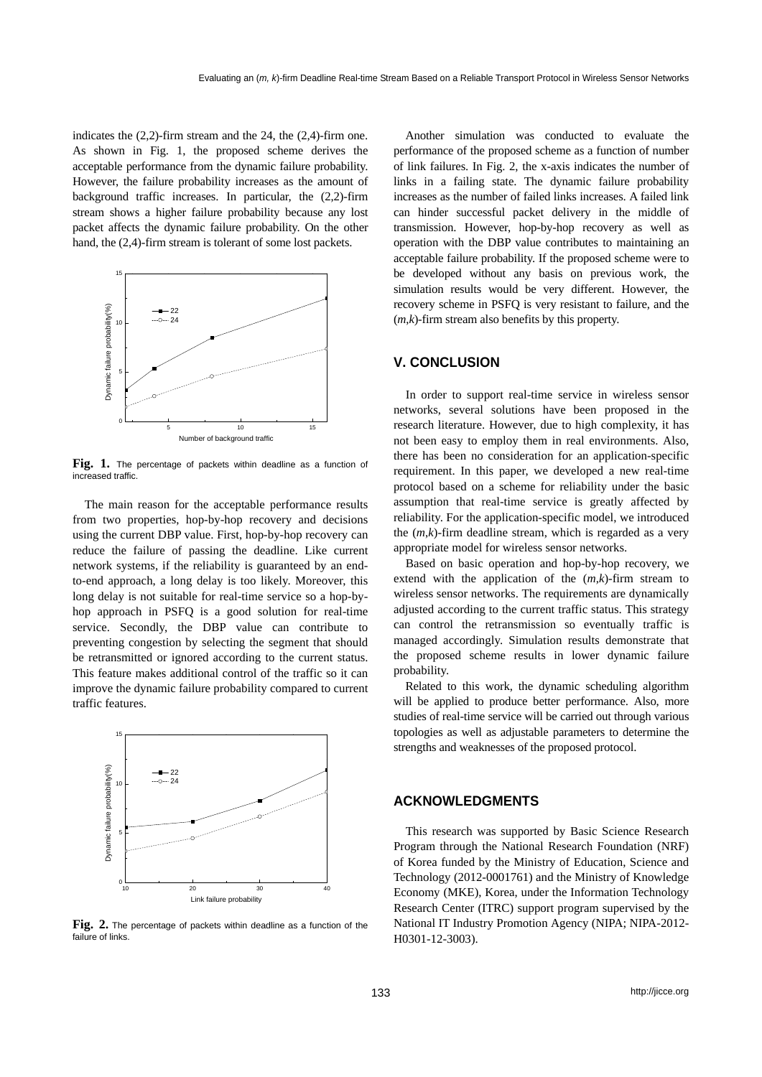indicates the (2,2)-firm stream and the 24, the (2,4)-firm one. As shown in Fig. 1, the proposed scheme derives the acceptable performance from the dynamic failure probability. However, the failure probability increases as the amount of background traffic increases. In particular, the (2,2)-firm stream shows a higher failure probability because any lost packet affects the dynamic failure probability. On the other hand, the (2,4)-firm stream is tolerant of some lost packets.



**Fig. 1.** The percentage of packets within deadline as a function of increased traffic.

The main reason for the acceptable performance results from two properties, hop-by-hop recovery and decisions using the current DBP value. First, hop-by-hop recovery can reduce the failure of passing the deadline. Like current network systems, if the reliability is guaranteed by an endto-end approach, a long delay is too likely. Moreover, this long delay is not suitable for real-time service so a hop-byhop approach in PSFQ is a good solution for real-time service. Secondly, the DBP value can contribute to preventing congestion by selecting the segment that should be retransmitted or ignored according to the current status. This feature makes additional control of the traffic so it can improve the dynamic failure probability compared to current traffic features.



**Fig. 2.** The percentage of packets within deadline as a function of the failure of links.

Another simulation was conducted to evaluate the performance of the proposed scheme as a function of number of link failures. In Fig. 2, the x-axis indicates the number of links in a failing state. The dynamic failure probability increases as the number of failed links increases. A failed link can hinder successful packet delivery in the middle of transmission. However, hop-by-hop recovery as well as operation with the DBP value contributes to maintaining an acceptable failure probability. If the proposed scheme were to be developed without any basis on previous work, the simulation results would be very different. However, the recovery scheme in PSFQ is very resistant to failure, and the (*m*,*k*)-firm stream also benefits by this property.

## **V. CONCLUSION**

In order to support real-time service in wireless sensor networks, several solutions have been proposed in the research literature. However, due to high complexity, it has not been easy to employ them in real environments. Also, there has been no consideration for an application-specific requirement. In this paper, we developed a new real-time protocol based on a scheme for reliability under the basic assumption that real-time service is greatly affected by reliability. For the application-specific model, we introduced the (*m*,*k*)-firm deadline stream, which is regarded as a very appropriate model for wireless sensor networks.

Based on basic operation and hop-by-hop recovery, we extend with the application of the (*m*,*k*)-firm stream to wireless sensor networks. The requirements are dynamically adjusted according to the current traffic status. This strategy can control the retransmission so eventually traffic is managed accordingly. Simulation results demonstrate that the proposed scheme results in lower dynamic failure probability.

Related to this work, the dynamic scheduling algorithm will be applied to produce better performance. Also, more studies of real-time service will be carried out through various topologies as well as adjustable parameters to determine the strengths and weaknesses of the proposed protocol.

# **ACKNOWLEDGMENTS**

This research was supported by Basic Science Research Program through the National Research Foundation (NRF) of Korea funded by the Ministry of Education, Science and Technology (2012-0001761) and the Ministry of Knowledge Economy (MKE), Korea, under the Information Technology Research Center (ITRC) support program supervised by the National IT Industry Promotion Agency (NIPA; NIPA-2012- H0301-12-3003).